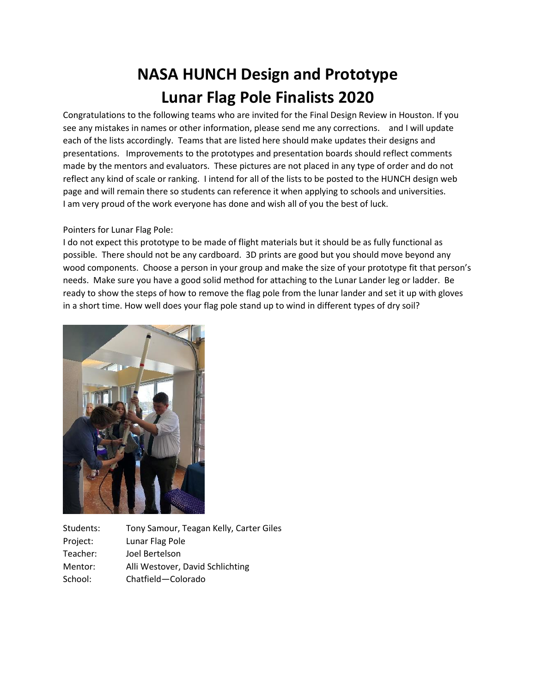## **NASA HUNCH Design and Prototype Lunar Flag Pole Finalists 2020**

Congratulations to the following teams who are invited for the Final Design Review in Houston. If you see any mistakes in names or other information, please send me any corrections. and I will update each of the lists accordingly. Teams that are listed here should make updates their designs and presentations. Improvements to the prototypes and presentation boards should reflect comments made by the mentors and evaluators. These pictures are not placed in any type of order and do not reflect any kind of scale or ranking. I intend for all of the lists to be posted to the HUNCH design web page and will remain there so students can reference it when applying to schools and universities. I am very proud of the work everyone has done and wish all of you the best of luck.

## Pointers for Lunar Flag Pole:

I do not expect this prototype to be made of flight materials but it should be as fully functional as possible. There should not be any cardboard. 3D prints are good but you should move beyond any wood components. Choose a person in your group and make the size of your prototype fit that person's needs. Make sure you have a good solid method for attaching to the Lunar Lander leg or ladder. Be ready to show the steps of how to remove the flag pole from the lunar lander and set it up with gloves in a short time. How well does your flag pole stand up to wind in different types of dry soil?



Students: Tony Samour, Teagan Kelly, Carter Giles Project: Lunar Flag Pole Teacher: Joel Bertelson Mentor: Alli Westover, David Schlichting School: Chatfield—Colorado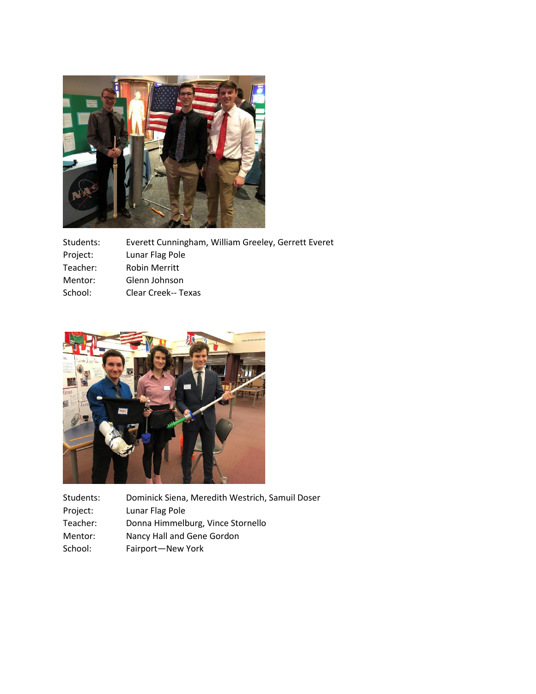

| Students: | Everett Cunningham, William Greeley, Gerrett Everet |
|-----------|-----------------------------------------------------|
| Project:  | Lunar Flag Pole                                     |
| Teacher:  | <b>Robin Merritt</b>                                |
| Mentor:   | Glenn Johnson                                       |
| School:   | Clear Creek-- Texas                                 |



| Students: | Dominick Siena, Meredith Westrich, Samuil Doser |
|-----------|-------------------------------------------------|
| Project:  | Lunar Flag Pole                                 |
| Teacher:  | Donna Himmelburg, Vince Stornello               |
| Mentor:   | Nancy Hall and Gene Gordon                      |
| School:   | Fairport-New York                               |
|           |                                                 |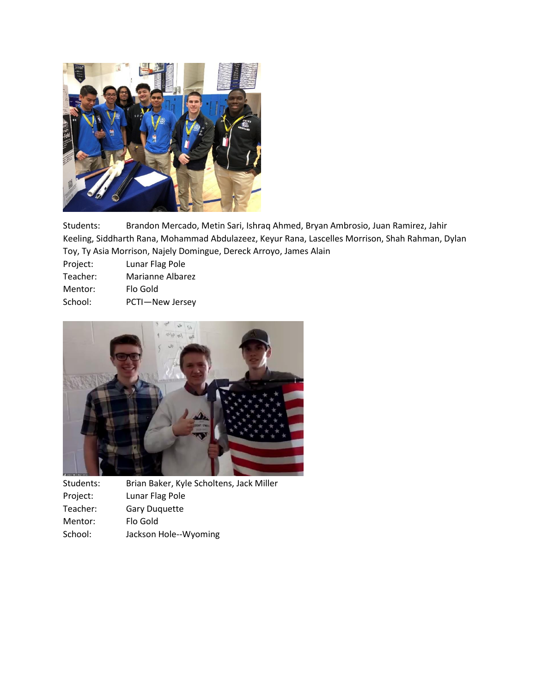

Students: Brandon Mercado, Metin Sari, Ishraq Ahmed, Bryan Ambrosio, Juan Ramirez, Jahir Keeling, Siddharth Rana, Mohammad Abdulazeez, Keyur Rana, Lascelles Morrison, Shah Rahman, Dylan Toy, Ty Asia Morrison, Najely Domingue, Dereck Arroyo, James Alain

Project: Lunar Flag Pole

| Teacher: | Marianne Albarez |
|----------|------------------|
|          |                  |

- Mentor: Flo Gold
- School: PCTI—New Jersey



| Brian Baker, Kyle Scholtens, Jack Miller |
|------------------------------------------|
| Lunar Flag Pole                          |
| <b>Gary Duquette</b>                     |
| Flo Gold                                 |
| Jackson Hole--Wyoming                    |
|                                          |